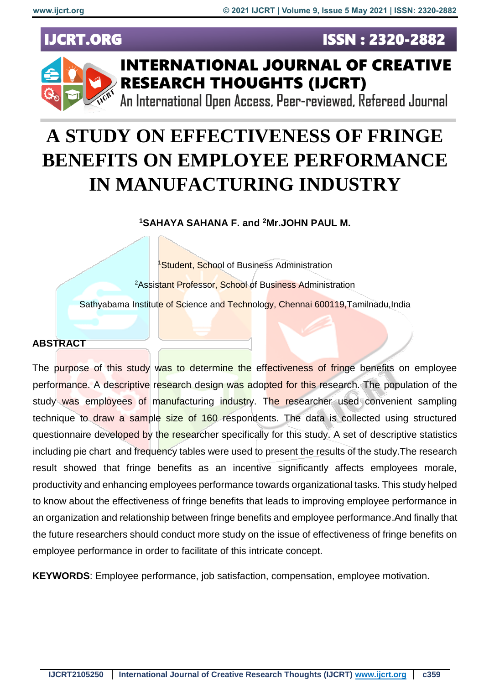**ISSN: 2320-2882** 

### **IJCRT.ORG**



## **INTERNATIONAL JOURNAL OF CREATIVE RESEARCH THOUGHTS (IJCRT)**

An International Open Access, Peer-reviewed, Refereed Journal

# **A STUDY ON EFFECTIVENESS OF FRINGE BENEFITS ON EMPLOYEE PERFORMANCE IN MANUFACTURING INDUSTRY**

**<sup>1</sup>SAHAYA SAHANA F. and <sup>2</sup>Mr.JOHN PAUL M.** 

<sup>1</sup>Student, School of Business Administration <sup>2</sup>Assistant Professor, School of Business Administration Sathyabama Institute of Science and Technology, Chennai 600119, Tamilnadu, India

#### **ABSTRACT**

The purpose of this study was to determine the effectiveness of fringe benefits on employee performance. A descriptive research design was adopted for this research. The population of the study was employees of manufacturing industry. The researcher used convenient sampling technique to draw a sample size of 160 respondents. The data is collected using structured questionnaire developed by the researcher specifically for this study. A set of descriptive statistics including pie chart and frequency tables were used to present the results of the study.The research result showed that fringe benefits as an incentive significantly affects employees morale, productivity and enhancing employees performance towards organizational tasks. This study helped to know about the effectiveness of fringe benefits that leads to improving employee performance in an organization and relationship between fringe benefits and employee performance.And finally that the future researchers should conduct more study on the issue of effectiveness of fringe benefits on employee performance in order to facilitate of this intricate concept.

**KEYWORDS**: Employee performance, job satisfaction, compensation, employee motivation.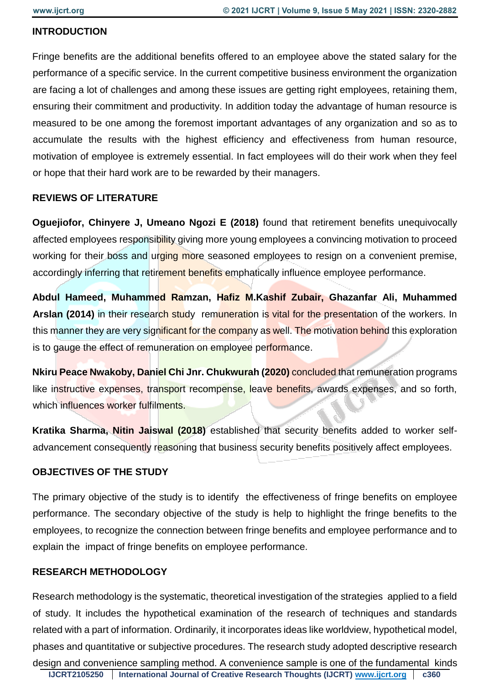#### **INTRODUCTION**

Fringe benefits are the additional benefits offered to an employee above the stated salary for the performance of a specific service. In the current competitive business environment the organization are facing a lot of challenges and among these issues are getting right employees, retaining them, ensuring their commitment and productivity. In addition today the advantage of human resource is measured to be one among the foremost important advantages of any organization and so as to accumulate the results with the highest efficiency and effectiveness from human resource, motivation of employee is extremely essential. In fact employees will do their work when they feel or hope that their hard work are to be rewarded by their managers.

#### **REVIEWS OF LITERATURE**

**Oguejiofor, Chinvere J, Umeano Ngozi E (2018)** found that retirement benefits unequivocally affected employees responsibility giving more young employees a convincing motivation to proceed working for their boss and urging more seasoned employees to resign on a convenient premise, accordingly inferring that retirement benefits emphatically influence employee performance.

**Abdul Hameed, Muhammed Ramzan, Hafiz M.Kashif Zubair, Ghazanfar Ali, Muhammed Arslan (2014)** in their research study remuneration is vital for the presentation of the workers. In this manner they are very significant for the company as well. The motivation behind this exploration is to gauge the effect of remuneration on employee performance.

**Nkiru Peace Nwakoby, Daniel Chi Jnr. Chukwurah (2020)** concluded that remuneration programs like instructive expenses, transport recompense, leave benefits, awards expenses, and so forth, which influences worker fulfilments.

**Kratika Sharma, Nitin Jaiswal (2018)** established that security benefits added to worker selfadvancement consequently reasoning that business security benefits positively affect employees.

#### **OBJECTIVES OF THE STUDY**

The primary objective of the study is to identify the effectiveness of fringe benefits on employee performance. The secondary objective of the study is help to highlight the fringe benefits to the employees, to recognize the connection between fringe benefits and employee performance and to explain the impact of fringe benefits on employee performance.

#### **RESEARCH METHODOLOGY**

Research methodology is the systematic, theoretical investigation of the strategies applied to a field of study. It includes the hypothetical examination of the research of techniques and standards related with a part of information. Ordinarily, it incorporates ideas like worldview, hypothetical model, phases and quantitative or subjective procedures. The research study adopted descriptive research design and convenience sampling method. A convenience sample is one of the fundamental kinds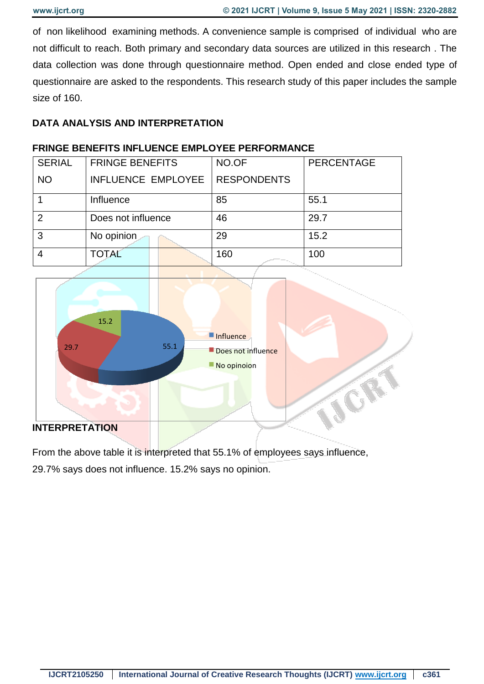of non likelihood examining methods. A convenience sample is comprised of individual who are not difficult to reach. Both primary and secondary data sources are utilized in this research . The data collection was done through questionnaire method. Open ended and close ended type of questionnaire are asked to the respondents. This research study of this paper includes the sample size of 160.

#### **DATA ANALYSIS AND INTERPRETATION**

#### **FRINGE BENEFITS INFLUENCE EMPLOYEE PERFORMANCE**

| <b>SERIAL</b> | <b>FRINGE BENEFITS</b> | NO.OF              | PERCENTAGE |
|---------------|------------------------|--------------------|------------|
| <b>NO</b>     | INFLUENCE EMPLOYEE     | <b>RESPONDENTS</b> |            |
|               | Influence              | 85                 | 55.1       |
| 2             | Does not influence     | 46                 | 29.7       |
| 3             | No opinion             | 29                 | 15.2       |
|               | <b>TOTAL</b>           | 160                | 100        |



#### **INTERPRETATION**

From the above table it is interpreted that 55.1% of employees says influence, 29.7% says does not influence. 15.2% says no opinion.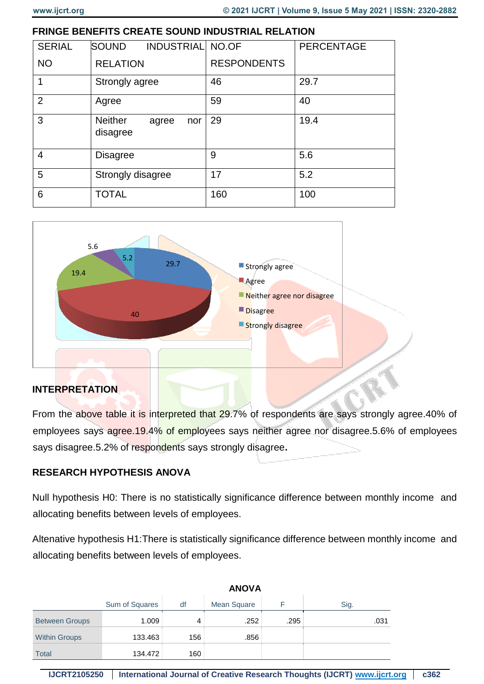#### **FRINGE BENEFITS CREATE SOUND INDUSTRIAL RELATION**

| <b>SERIAL</b>  | <b>SOUND</b><br><b>INDUSTRIAL NO.OF</b>    |                    | PERCENTAGE |
|----------------|--------------------------------------------|--------------------|------------|
| <b>NO</b>      | <b>RELATION</b>                            | <b>RESPONDENTS</b> |            |
| 1              | Strongly agree                             | 46                 | 29.7       |
| 2              | Agree                                      | 59                 | 40         |
| 3              | <b>Neither</b><br>nor<br>agree<br>disagree | 29                 | 19.4       |
| $\overline{4}$ | <b>Disagree</b>                            | 9                  | 5.6        |
| 5              | Strongly disagree                          | 17                 | 5.2        |
| 6              | <b>TOTAL</b>                               | 160                | 100        |



#### **INTERPRETATION**

From the above table it is interpreted that 29.7% of respondents are says strongly agree.40% of employees says agree.19.4% of employees says neither agree nor disagree.5.6% of employees says disagree.5.2% of respondents says strongly disagree**.** 

#### **RESEARCH HYPOTHESIS ANOVA**

Null hypothesis H0: There is no statistically significance difference between monthly income and allocating benefits between levels of employees.

Altenative hypothesis H1:There is statistically significance difference between monthly income and allocating benefits between levels of employees.

|                       | <b>ANUVA</b>   |     |             |      |      |
|-----------------------|----------------|-----|-------------|------|------|
|                       | Sum of Squares | df  | Mean Square |      | Sig. |
| <b>Between Groups</b> | 1.009          | 4   | .252        | .295 | .031 |
| <b>Within Groups</b>  | 133.463        | 156 | .856        |      |      |
| <b>Total</b>          | 134.472        | 160 |             |      |      |

| ANOVA |  |  |
|-------|--|--|
|       |  |  |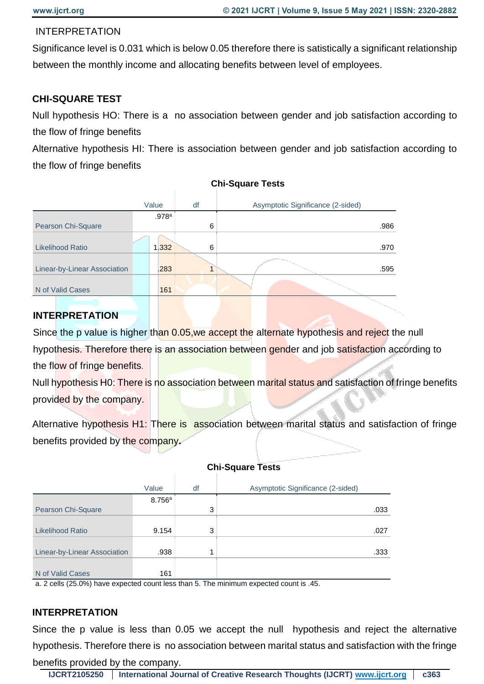#### INTERPRETATION

Significance level is 0.031 which is below 0.05 therefore there is satistically a significant relationship between the monthly income and allocating benefits between level of employees.

#### **CHI-SQUARE TEST**

Null hypothesis HO: There is a no association between gender and job satisfaction according to the flow of fringe benefits

Alternative hypothesis HI: There is association between gender and job satisfaction according to the flow of fringe benefits

|                              | Value | df | Asymptotic Significance (2-sided) |
|------------------------------|-------|----|-----------------------------------|
|                              | .978a |    |                                   |
| Pearson Chi-Square           |       | 6  | .986                              |
|                              |       |    |                                   |
| <b>Likelihood Ratio</b>      | 1.332 | 6  | .970                              |
|                              |       |    |                                   |
| Linear-by-Linear Association | .283  |    | .595                              |
|                              |       |    |                                   |
| N of Valid Cases             | 161   |    |                                   |

#### **Chi-Square Tests**

#### **INTERPRETATION**

Since the p value is higher than 0.05, we accept the alternate hypothesis and reject the null hypothesis. Therefore there is an association between gender and job satisfaction according to the flow of fringe benefits.

Null hypothesis H0: There is no association between marital status and satisfaction of fringe benefits provided by the company.

Alternative hypothesis H1: There is association between marital status and satisfaction of fringe benefits provided by the company**.** 

|                              | Value  | df | Asymptotic Significance (2-sided) |
|------------------------------|--------|----|-----------------------------------|
|                              | 8.756a |    |                                   |
| Pearson Chi-Square           |        | 3  | .033                              |
|                              |        |    |                                   |
| <b>Likelihood Ratio</b>      | 9.154  | 3  | .027                              |
|                              |        |    |                                   |
| Linear-by-Linear Association | .938   | 4  | .333                              |
|                              |        |    |                                   |
| N of Valid Cases             | 161    |    |                                   |

#### **Chi-Square Tests**

a. 2 cells (25.0%) have expected count less than 5. The minimum expected count is .45.

#### **INTERPRETATION**

Since the p value is less than 0.05 we accept the null hypothesis and reject the alternative hypothesis. Therefore there is no association between marital status and satisfaction with the fringe benefits provided by the company.

**IJCRT2105250 International Journal of Creative Research Thoughts (IJCRT) [www.ijcrt.org](http://www.ijcrt.org/) c363**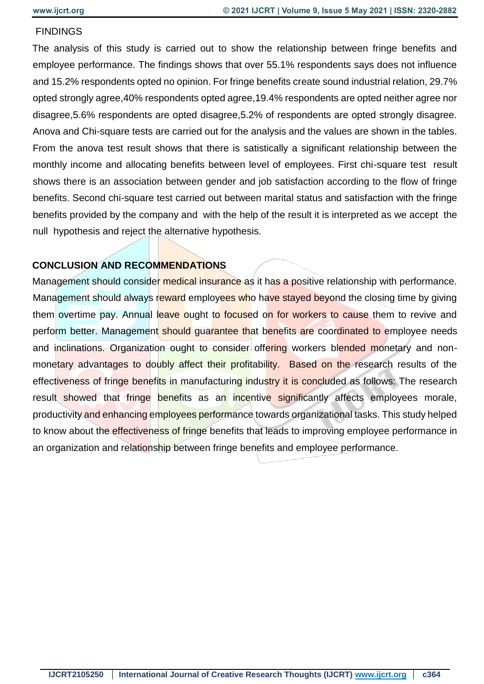#### **FINDINGS**

The analysis of this study is carried out to show the relationship between fringe benefits and employee performance. The findings shows that over 55.1% respondents says does not influence and 15.2% respondents opted no opinion. For fringe benefits create sound industrial relation, 29.7% opted strongly agree,40% respondents opted agree,19.4% respondents are opted neither agree nor disagree,5.6% respondents are opted disagree,5.2% of respondents are opted strongly disagree. Anova and Chi-square tests are carried out for the analysis and the values are shown in the tables. From the anova test result shows that there is satistically a significant relationship between the monthly income and allocating benefits between level of employees. First chi-square test result shows there is an association between gender and job satisfaction according to the flow of fringe benefits. Second chi-square test carried out between marital status and satisfaction with the fringe benefits provided by the company and with the help of the result it is interpreted as we accept the null hypothesis and reject the alternative hypothesis.

#### **CONCLUSION AND RECOMMENDATIONS**

Management should consider medical insurance as it has a positive relationship with performance. Management should always reward employees who have stayed beyond the closing time by giving them overtime pay. Annual leave ought to focused on for workers to cause them to revive and perform better. Management should guarantee that benefits are coordinated to employee needs and inclinations. Organization ought to consider offering workers blended monetary and nonmonetary advantages to doubly affect their profitability. Based on the research results of the effectiveness of fringe benefits in manufacturing industry it is concluded as follows: The research result showed that fringe benefits as an incentive significantly affects employees morale, productivity and enhancing employees performance towards organizational tasks. This study helped to know about the effectiveness of fringe benefits that leads to improving employee performance in an organization and relationship between fringe benefits and employee performance.